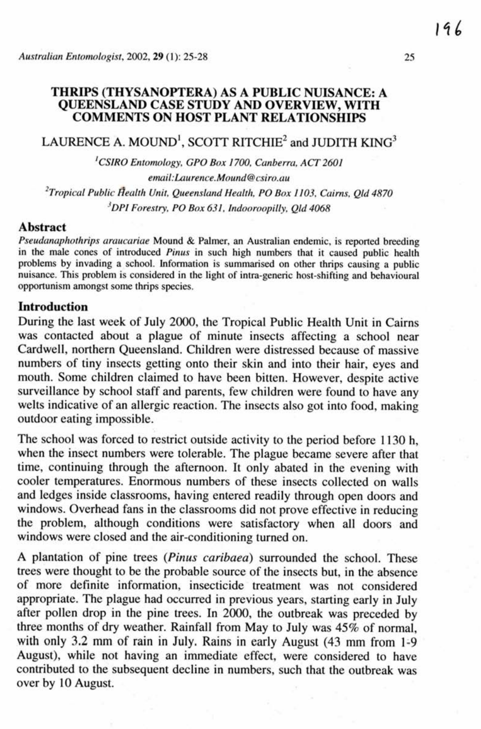## **THRIPS (THYSANOPTERA) AS A PUBLIC NUISANCE: A QUEENSLAND CASE STUDY AND OVERVIEW, WITH COMMENTS ON HOST PLANT RELATIONSHIPS**

# $LAURENCE A. MOUND<sup>1</sup>, SCOTT RITCHIE<sup>2</sup> and JUDITH  $KING<sup>3</sup>$$

*'CSIRO* **Entomology, GPO** *Box* **1700.** *Canberra.* **ACT 2601**   $email: Laurence. Mount@ csiro.au$ <sup>2</sup>Tropical Public Health Unit, Queensland Health, PO Box 1103, Cairns, Qld 4870 *'DPI Forestry,* **PO** *Box* **631,** *Indoomopilly. QLi* **4068** 

#### **Abstract**

*Pse~~danaphothrip.~* **am~cariae Mound** & **Palmer, an Australian endemic, is reported breeding**  in the male cones of introduced *Pinus* in such high numbers that it caused public health **problems** by invading a school. Information is summarised on other thrips causing a public **nuisance. This problem is cansided in the light of intra-generic host-shifting and behavioural**   $opportunism amongst some things species.$ 

#### **Introduction**

During the last week of July 2000, the Tropical Public Health Unit in **Cairns**  was **contacted** about a plague of minute insects affecting a school near Cardwell, northern Queensland. Children **were** distressed because of massive numbers of tiny insects getting onto their skin and into their hair, eyes and mouth. Some children claimed to **have** been bitten. However, despite active surveillance by school staff and parents, few children **were** found to have **any**  welts indicative of an allergic reaction. The insects also got into food, making outdoor eating impossible.

The school was forced to restrict outside activity to the period before 1130 h, when the insect numbers were tolerable. The plague became **severe after** that time, continuing through the afternoon. It only abated in the evening with cooler temperatures. Enormous numbers of **these** insects **collected** on walls and ledges inside classrooms, having entered readily through open doors and windows. Overhead fans in the classrooms did not prove effective in reducing the problem, although conditions were satisfactory **when** all doors and windows were closed **and** the air-conditioning turned **on.** 

A plantation of pine trees **(Pinus** *caribaea)* surrounded the school. These trees were thought to **be** the probable source of the insects but, in the **absence**  of more definite information, insecticide treatment **was** not considered appropriate. The plague **had** occurred in previous **years,** starting early in July after pollen drop in the pine trees. In 2000, the outbreak was preceded by three months of dry weather. Rainfall **from** May **to July was 45%** of **normal, with only 3.2** mm of rain in July. Rains in **early August** (43 **mm** from **Ii9**  August), while not having an immediate effect, were considered to have **contributd** to the subsequent **decline** in numbers, such that the outbreak **was**  over by 10 August.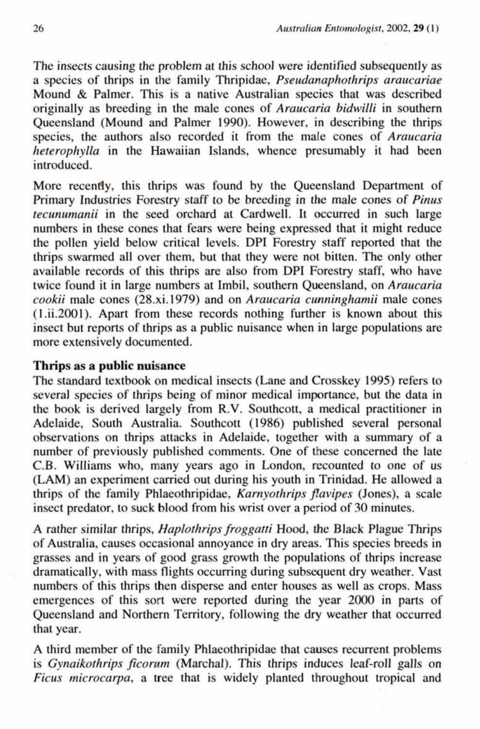The **insects** causing the problem at this school **were** identified subsequently **as**  a species of thrips in the family Thripidae, *Pseudanaphothrips araucariae* Mound & Palmer. This is a native Australian **species that was** described originally as breeding in the male cones of *Araucaria* bidwilii in southern Queensland (Mound **and** Palmer **1980).** However. in describing the **thrips**  species, the authors also recorded it from the male cones of *Araucaria hererophylla* in *the* Hawaiian Islands, whence presumably it had **been**  introduced.

More recendy, this thrips was found by the Queensland Department of Primary Industries Forestry staff to be breeding in **the** male cones of *Pinus tecunumanii* in the seed orchard at Cardwell. It **occurred** in such large numbers in these cones that fears **were** being **expressed** that it might reduce the pollen yield below critical levels. DPI Forestry staff reported that the thrips **swarmed** all over **them, but** that they were not bitten. The only other available records of this thrips are **also from** DPI Forestry staff, **who** have twice found it in large numbers at Imbil, southern Queensland, on *Araucaria cookii male* cones (28.xi.1979) and on *Araucaria cuminghamii* male *cones*  **(1** .ii.2001). Apart **from these** records nothing further is known about this insect **but** reports of **thrips as** a public **nuisance** when in large popuiations are more extensively documented.

# **Thrips as a public nuisance**

The standard textbook on medical insects (Lane and Crosskey 1995) refers to several species of thrips being of minor medical importance, but the **data** in **the book** is **derived Iargely from R.V. Southcott,** a medical practitioner in Adelaide, South Australia. Southcott ( 1986) published several personal observations on thrips attacks in Adelaide, together with a summary of a number of previously published comments. One of these **concerned** the late C.B. Williarns who, **many** years **ago** in London, recounted to one of us **(LAM)** an experiment **carried** out during his youth in Trinidad. He **allowed** a **thrips** of the family **Phlaeothripidae,** *Kamyothrips flavipes* (Jones), a **scale insect** predator, to **suck** blood from his wrist over a period of 30 minutes.

**A** rather similar **thrips,** *Haplorhripsfroggatti* **Hod,** the Black Plague **Thrips**  of Ausualia, causes occasional annoyance in dry **areas.** This species **breeds** in grasses **and** in years of good **grass growth** the populations of thrips increase dramatically, with mass flights occurring during subsequent dry weather. Vast numbers of this thrips then disperse and enter houses as well as crops. **Mass**  ernergences of this sort were reported **during the year 2000** in parts of Queensland **and Northern** Territory. following the **dry** weather that **occurred**  that year.

**A third mehr** of the family Phlaeothripidae that causes recurrent problems is *Gynaikothrips ficorum* (Marchal). This thrips induces leaf-roll galls on *Ficus microcarpa.* a **tree** that is widely planted throughout tropical and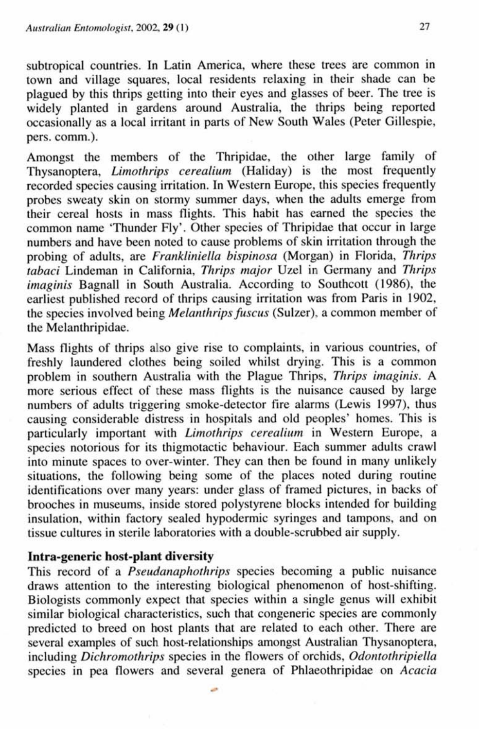subtropical countries. In Latin America, where these trees are common in town **and** village squares, local residents relaxing in their shade can be plagued by this thrips getting into their eyes and glasses of beer. The tree is widely planted in **gardens** around Australia, the thrips being reported occasionally as a local irritant in parts of New South Wales (Peter Gillespie, pers. comm.).

Amongst the members of the Thripidae, the other large family of Thysanoptera, *Limothrips cerealium* (Haliday) is the most frequently recorded species causing irritation. In Western Europe, this species frequently probes sweaty **skin** on stormy summer days, when the adults emerge from their cereal hosts in mass flights. This habit has earned the species the **common** name 'Thunder Fly'. Other species of Thripidae that occur in large numbers and have been noted to cause problems of skin irritation through the probing of adults, are *Franktiniella bispinosu* (Morgan) in Florida, *Thrips tabaci* Lindeman in California, Thrips major Uzel in Germany and *Thrips*  imaginis Bagnall in South Australia. According to Southcott (1986), the earliest published record of thrips causing irritation was **from** Paris in 1902, the species involved being *Melanthrips fuscus* (Sulzer), a common member of the Melanthripidae.

Mass flights of thrips also **give** rise to complaints, in various countries, of freshly laundered clothes being soiled whilst drying. This is a common problem in southern Australia with the Plague Thrips, *Thrips imaginis. A*  more serious effect of these mass flights is the nuisance caused by large numbers of adults triggering smoke-detector fire alarms (Lewis **1997),** thus causing considerable distress in hospitals and old peoples' homes. This **is**  particularly important with *Limothrips* cerealium in Western Europe, a species notorious for its thigrnotactic behaviour. Each summer adults crawl into minute spaces to over-winter. They **can** then be found in many unlikely situations, the following being **some** of the places noted during routine identifications over many years: under glass of framed pictures, in backs of brooches in museums, inside stored polystyrene blocks intended for building insulation, within factory **sealed** hypodermic syringes and tampons, **and** on tissue cultures in sterile laboratories with a double-scrubbed air supply.

# **Intra-generic** host-plant diversity

This record of a *Pseudanaphothrips* species **becoming** *a* public nuisance **draws** attention to the interesting biological phenomenon of host-shifting. Biologists commonly expect that species within a single genus will exhibit similar biological characteristics, such that congeneric species are commonly predicted to breed on host plants that are related to each other. There are several examples of such host-relationships amongst Australian Thysanoptera, including *Dichromothrips* species in the flowers of orchids, *Odontothripiellu*  species in pea flowers and several genera of Phlaeothripidae on *Acacia*